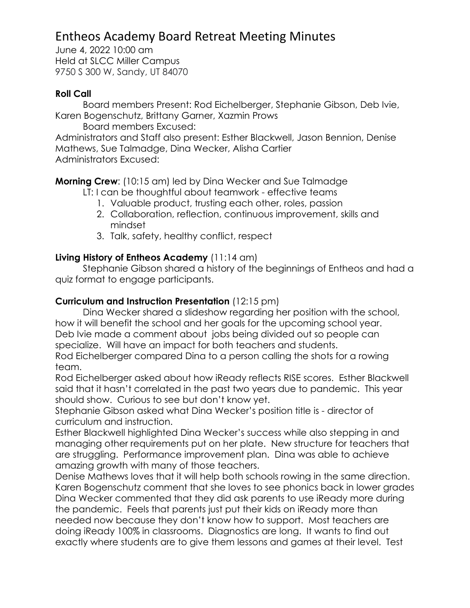# Entheos Academy Board Retreat Meeting Minutes

June 4, 2022 10:00 am Held at SLCC Miller Campus 9750 S 300 W, Sandy, UT 84070

#### **Roll Call**

Board members Present: Rod Eichelberger, Stephanie Gibson, Deb Ivie, Karen Bogenschutz, Brittany Garner, Xazmin Prows

Board members Excused:

Administrators and Staff also present: Esther Blackwell, Jason Bennion, Denise Mathews, Sue Talmadge, Dina Wecker, Alisha Cartier Administrators Excused:

**Morning Crew**: (10:15 am) led by Dina Wecker and Sue Talmadge

LT: I can be thoughtful about teamwork - effective teams

- 1. Valuable product, trusting each other, roles, passion
- 2. Collaboration, reflection, continuous improvement, skills and mindset
- 3. Talk, safety, healthy conflict, respect

## **Living History of Entheos Academy** (11:14 am)

Stephanie Gibson shared a history of the beginnings of Entheos and had a quiz format to engage participants.

## **Curriculum and Instruction Presentation** (12:15 pm)

Dina Wecker shared a slideshow regarding her position with the school, how it will benefit the school and her goals for the upcoming school year. Deb Ivie made a comment about jobs being divided out so people can specialize. Will have an impact for both teachers and students.

Rod Eichelberger compared Dina to a person calling the shots for a rowing team.

Rod Eichelberger asked about how iReady reflects RISE scores. Esther Blackwell said that it hasn't correlated in the past two years due to pandemic. This year should show. Curious to see but don't know yet.

Stephanie Gibson asked what Dina Wecker's position title is - director of curriculum and instruction.

Esther Blackwell highlighted Dina Wecker's success while also stepping in and managing other requirements put on her plate. New structure for teachers that are struggling. Performance improvement plan. Dina was able to achieve amazing growth with many of those teachers.

Denise Mathews loves that it will help both schools rowing in the same direction. Karen Bogenschutz comment that she loves to see phonics back in lower grades Dina Wecker commented that they did ask parents to use iReady more during the pandemic. Feels that parents just put their kids on iReady more than needed now because they don't know how to support. Most teachers are doing iReady 100% in classrooms. Diagnostics are long. It wants to find out exactly where students are to give them lessons and games at their level. Test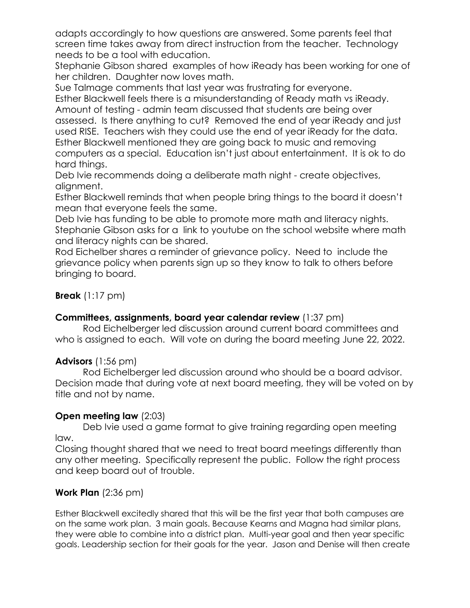adapts accordingly to how questions are answered. Some parents feel that screen time takes away from direct instruction from the teacher. Technology needs to be a tool with education.

Stephanie Gibson shared examples of how iReady has been working for one of her children. Daughter now loves math.

Sue Talmage comments that last year was frustrating for everyone.

Esther Blackwell feels there is a misunderstanding of Ready math vs iReady. Amount of testing - admin team discussed that students are being over assessed. Is there anything to cut? Removed the end of year iReady and just used RISE. Teachers wish they could use the end of year iReady for the data. Esther Blackwell mentioned they are going back to music and removing computers as a special. Education isn't just about entertainment. It is ok to do hard things.

Deb Ivie recommends doing a deliberate math night - create objectives, alignment.

Esther Blackwell reminds that when people bring things to the board it doesn't mean that everyone feels the same.

Deb Ivie has funding to be able to promote more math and literacy nights. Stephanie Gibson asks for a link to youtube on the school website where math and literacy nights can be shared.

Rod Eichelber shares a reminder of grievance policy. Need to include the grievance policy when parents sign up so they know to talk to others before bringing to board.

## **Break** (1:17 pm)

## **Committees, assignments, board year calendar review** (1:37 pm)

Rod Eichelberger led discussion around current board committees and who is assigned to each. Will vote on during the board meeting June 22, 2022.

#### **Advisors** (1:56 pm)

Rod Eichelberger led discussion around who should be a board advisor. Decision made that during vote at next board meeting, they will be voted on by title and not by name.

## **Open meeting law** (2:03)

Deb Ivie used a game format to give training regarding open meeting law.

Closing thought shared that we need to treat board meetings differently than any other meeting. Specifically represent the public. Follow the right process and keep board out of trouble.

## **Work Plan** (2:36 pm)

Esther Blackwell excitedly shared that this will be the first year that both campuses are on the same work plan. 3 main goals. Because Kearns and Magna had similar plans, they were able to combine into a district plan. Multi-year goal and then year specific goals. Leadership section for their goals for the year. Jason and Denise will then create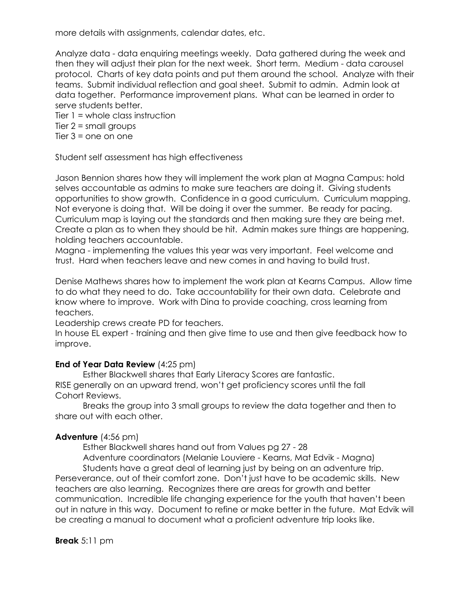more details with assignments, calendar dates, etc.

Analyze data - data enquiring meetings weekly. Data gathered during the week and then they will adjust their plan for the next week. Short term. Medium - data carousel protocol. Charts of key data points and put them around the school. Analyze with their teams. Submit individual reflection and goal sheet. Submit to admin. Admin look at data together. Performance improvement plans. What can be learned in order to serve students better.

Tier  $1 =$  whole class instruction Tier  $2 = \text{small groups}$ 

Tier  $3 =$  one on one

Student self assessment has high effectiveness

Jason Bennion shares how they will implement the work plan at Magna Campus: hold selves accountable as admins to make sure teachers are doing it. Giving students opportunities to show growth. Confidence in a good curriculum. Curriculum mapping. Not everyone is doing that. Will be doing it over the summer. Be ready for pacing. Curriculum map is laying out the standards and then making sure they are being met. Create a plan as to when they should be hit. Admin makes sure things are happening, holding teachers accountable.

Magna - implementing the values this year was very important. Feel welcome and trust. Hard when teachers leave and new comes in and having to build trust.

Denise Mathews shares how to implement the work plan at Kearns Campus. Allow time to do what they need to do. Take accountability for their own data. Celebrate and know where to improve. Work with Dina to provide coaching, cross learning from teachers.

Leadership crews create PD for teachers.

In house EL expert - training and then give time to use and then give feedback how to improve.

#### **End of Year Data Review** (4:25 pm)

Esther Blackwell shares that Early Literacy Scores are fantastic. RISE generally on an upward trend, won't get proficiency scores until the fall Cohort Reviews.

Breaks the group into 3 small groups to review the data together and then to share out with each other.

#### **Adventure** (4:56 pm)

Esther Blackwell shares hand out from Values pg 27 - 28

Adventure coordinators (Melanie Louviere - Kearns, Mat Edvik - Magna) Students have a great deal of learning just by being on an adventure trip.

Perseverance, out of their comfort zone. Don't just have to be academic skills. New teachers are also learning. Recognizes there are areas for growth and better communication. Incredible life changing experience for the youth that haven't been out in nature in this way. Document to refine or make better in the future. Mat Edvik will be creating a manual to document what a proficient adventure trip looks like.

#### **Break** 5:11 pm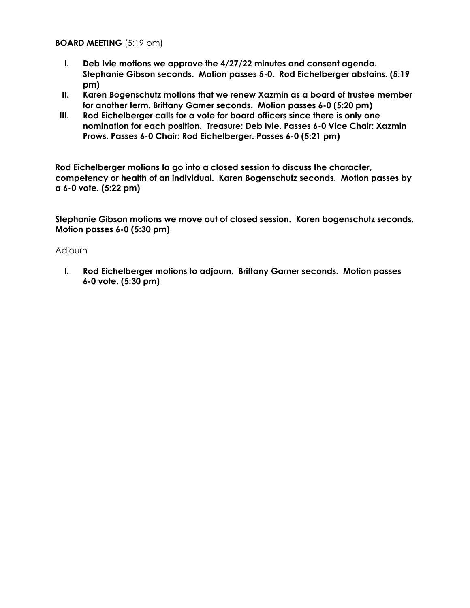#### **BOARD MEETING** (5:19 pm)

- **I. Deb Ivie motions we approve the 4/27/22 minutes and consent agenda. Stephanie Gibson seconds. Motion passes 5-0. Rod Eichelberger abstains. (5:19 pm)**
- **II. Karen Bogenschutz motions that we renew Xazmin as a board of trustee member for another term. Brittany Garner seconds. Motion passes 6-0 (5:20 pm)**
- **III. Rod Eichelberger calls for a vote for board officers since there is only one nomination for each position. Treasure: Deb Ivie. Passes 6-0 Vice Chair: Xazmin Prows. Passes 6-0 Chair: Rod Eichelberger. Passes 6-0 (5:21 pm)**

**Rod Eichelberger motions to go into a closed session to discuss the character, competency or health of an individual. Karen Bogenschutz seconds. Motion passes by a 6-0 vote. (5:22 pm)**

**Stephanie Gibson motions we move out of closed session. Karen bogenschutz seconds. Motion passes 6-0 (5:30 pm)**

#### Adjourn

**I. Rod Eichelberger motions to adjourn. Brittany Garner seconds. Motion passes 6-0 vote. (5:30 pm)**